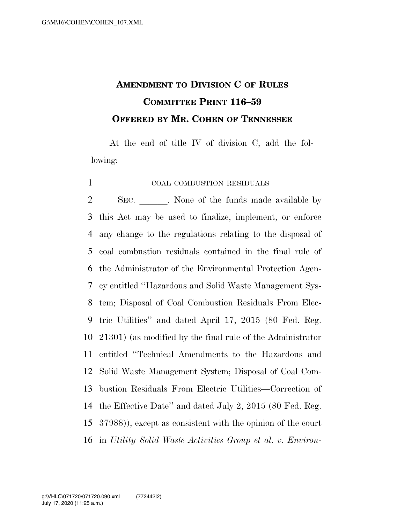## **AMENDMENT TO DIVISION C OF RULES COMMITTEE PRINT 116–59 OFFERED BY MR. COHEN OF TENNESSEE**

At the end of title IV of division C, add the following:

## COAL COMBUSTION RESIDUALS

2 SEC. None of the funds made available by this Act may be used to finalize, implement, or enforce any change to the regulations relating to the disposal of coal combustion residuals contained in the final rule of the Administrator of the Environmental Protection Agen- cy entitled ''Hazardous and Solid Waste Management Sys- tem; Disposal of Coal Combustion Residuals From Elec- tric Utilities'' and dated April 17, 2015 (80 Fed. Reg. 21301) (as modified by the final rule of the Administrator entitled ''Technical Amendments to the Hazardous and Solid Waste Management System; Disposal of Coal Com- bustion Residuals From Electric Utilities—Correction of the Effective Date'' and dated July 2, 2015 (80 Fed. Reg. 37988)), except as consistent with the opinion of the court in *Utility Solid Waste Activities Group et al. v. Environ-*